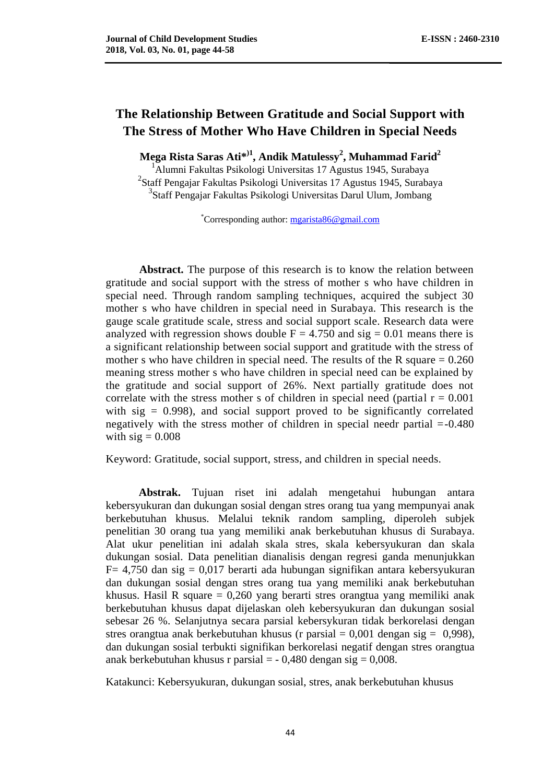# **The Relationship Between Gratitude and Social Support with The Stress of Mother Who Have Children in Special Needs**

**Mega Rista Saras Ati\* )1 , Andik Matulessy<sup>2</sup> , Muhammad Farid<sup>2</sup>**

<sup>1</sup>Alumni Fakultas Psikologi Universitas 17 Agustus 1945, Surabaya <sup>2</sup>Staff Pengajar Fakultas Psikologi Universitas 17 Agustus 1945, Surabaya 3 Staff Pengajar Fakultas Psikologi Universitas Darul Ulum, Jombang

\*Corresponding author: [mgarista86@gmail.com](mailto:mgarista86@gmail.com)

**Abstract.** The purpose of this research is to know the relation between gratitude and social support with the stress of mother s who have children in special need. Through random sampling techniques, acquired the subject 30 mother s who have children in special need in Surabaya. This research is the gauge scale gratitude scale, stress and social support scale. Research data were analyzed with regression shows double  $F = 4.750$  and sig = 0.01 means there is a significant relationship between social support and gratitude with the stress of mother s who have children in special need. The results of the R square  $= 0.260$ meaning stress mother s who have children in special need can be explained by the gratitude and social support of 26%. Next partially gratitude does not correlate with the stress mother s of children in special need (partial  $r = 0.001$ ) with sig  $= 0.998$ ), and social support proved to be significantly correlated negatively with the stress mother of children in special needr partial =-0.480 with  $sig = 0.008$ 

Keyword: Gratitude, social support, stress, and children in special needs.

**Abstrak.** Tujuan riset ini adalah mengetahui hubungan antara kebersyukuran dan dukungan sosial dengan stres orang tua yang mempunyai anak berkebutuhan khusus. Melalui teknik random sampling, diperoleh subjek penelitian 30 orang tua yang memiliki anak berkebutuhan khusus di Surabaya. Alat ukur penelitian ini adalah skala stres, skala kebersyukuran dan skala dukungan sosial. Data penelitian dianalisis dengan regresi ganda menunjukkan  $F= 4,750$  dan sig = 0,017 berarti ada hubungan signifikan antara kebersyukuran dan dukungan sosial dengan stres orang tua yang memiliki anak berkebutuhan khusus. Hasil R square = 0,260 yang berarti stres orangtua yang memiliki anak berkebutuhan khusus dapat dijelaskan oleh kebersyukuran dan dukungan sosial sebesar 26 %. Selanjutnya secara parsial kebersykuran tidak berkorelasi dengan stres orangtua anak berkebutuhan khusus (r parsial  $= 0.001$  dengan sig  $= 0.998$ ), dan dukungan sosial terbukti signifikan berkorelasi negatif dengan stres orangtua anak berkebutuhan khusus r parsial  $= -0.480$  dengan sig  $= 0.008$ .

Katakunci: Kebersyukuran, dukungan sosial, stres, anak berkebutuhan khusus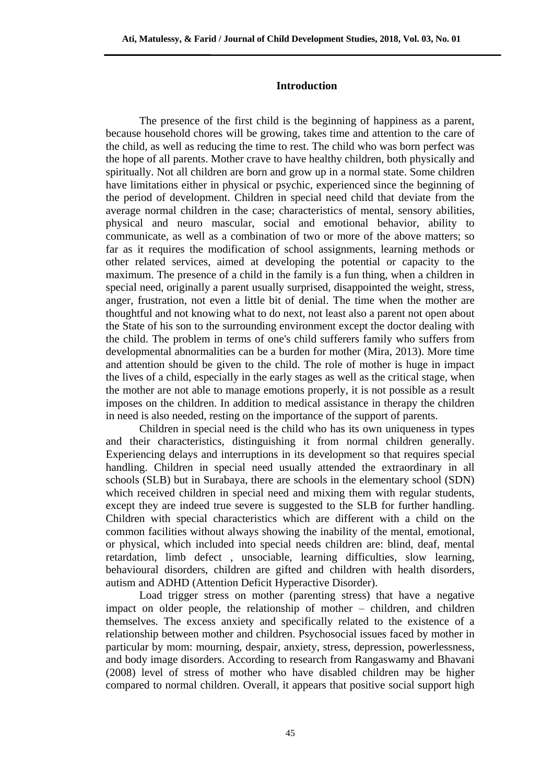#### **Introduction**

The presence of the first child is the beginning of happiness as a parent, because household chores will be growing, takes time and attention to the care of the child, as well as reducing the time to rest. The child who was born perfect was the hope of all parents. Mother crave to have healthy children, both physically and spiritually. Not all children are born and grow up in a normal state. Some children have limitations either in physical or psychic, experienced since the beginning of the period of development. Children in special need child that deviate from the average normal children in the case; characteristics of mental, sensory abilities, physical and neuro mascular, social and emotional behavior, ability to communicate, as well as a combination of two or more of the above matters; so far as it requires the modification of school assignments, learning methods or other related services, aimed at developing the potential or capacity to the maximum. The presence of a child in the family is a fun thing, when a children in special need, originally a parent usually surprised, disappointed the weight, stress, anger, frustration, not even a little bit of denial. The time when the mother are thoughtful and not knowing what to do next, not least also a parent not open about the State of his son to the surrounding environment except the doctor dealing with the child. The problem in terms of one's child sufferers family who suffers from developmental abnormalities can be a burden for mother (Mira, 2013). More time and attention should be given to the child. The role of mother is huge in impact the lives of a child, especially in the early stages as well as the critical stage, when the mother are not able to manage emotions properly, it is not possible as a result imposes on the children. In addition to medical assistance in therapy the children in need is also needed, resting on the importance of the support of parents.

Children in special need is the child who has its own uniqueness in types and their characteristics, distinguishing it from normal children generally. Experiencing delays and interruptions in its development so that requires special handling. Children in special need usually attended the extraordinary in all schools (SLB) but in Surabaya, there are schools in the elementary school (SDN) which received children in special need and mixing them with regular students, except they are indeed true severe is suggested to the SLB for further handling. Children with special characteristics which are different with a child on the common facilities without always showing the inability of the mental, emotional, or physical, which included into special needs children are: blind, deaf, mental retardation, limb defect , unsociable, learning difficulties, slow learning, behavioural disorders, children are gifted and children with health disorders, autism and ADHD (Attention Deficit Hyperactive Disorder).

Load trigger stress on mother (parenting stress) that have a negative impact on older people, the relationship of mother – children, and children themselves. The excess anxiety and specifically related to the existence of a relationship between mother and children. Psychosocial issues faced by mother in particular by mom: mourning, despair, anxiety, stress, depression, powerlessness, and body image disorders. According to research from Rangaswamy and Bhavani (2008) level of stress of mother who have disabled children may be higher compared to normal children. Overall, it appears that positive social support high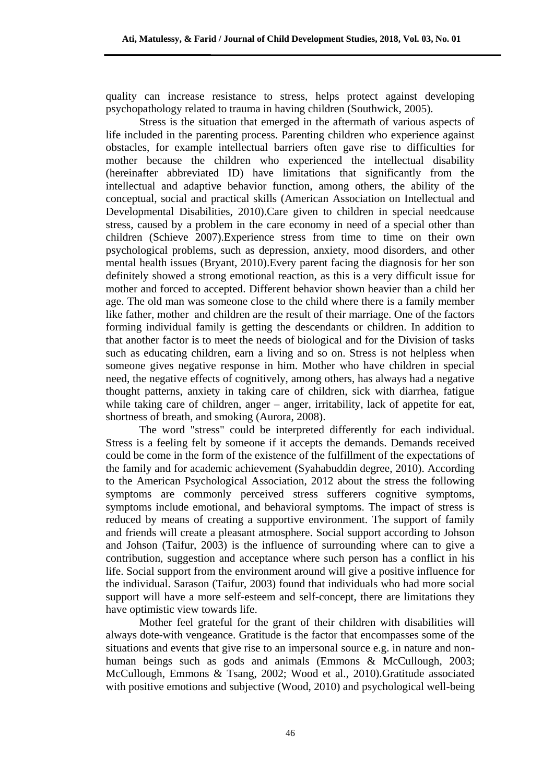quality can increase resistance to stress, helps protect against developing psychopathology related to trauma in having children (Southwick, 2005).

Stress is the situation that emerged in the aftermath of various aspects of life included in the parenting process. Parenting children who experience against obstacles, for example intellectual barriers often gave rise to difficulties for mother because the children who experienced the intellectual disability (hereinafter abbreviated ID) have limitations that significantly from the intellectual and adaptive behavior function, among others, the ability of the conceptual, social and practical skills (American Association on Intellectual and Developmental Disabilities, 2010).Care given to children in special needcause stress, caused by a problem in the care economy in need of a special other than children (Schieve 2007).Experience stress from time to time on their own psychological problems, such as depression, anxiety, mood disorders, and other mental health issues (Bryant, 2010).Every parent facing the diagnosis for her son definitely showed a strong emotional reaction, as this is a very difficult issue for mother and forced to accepted. Different behavior shown heavier than a child her age. The old man was someone close to the child where there is a family member like father, mother and children are the result of their marriage. One of the factors forming individual family is getting the descendants or children. In addition to that another factor is to meet the needs of biological and for the Division of tasks such as educating children, earn a living and so on. Stress is not helpless when someone gives negative response in him. Mother who have children in special need, the negative effects of cognitively, among others, has always had a negative thought patterns, anxiety in taking care of children, sick with diarrhea, fatigue while taking care of children, anger – anger, irritability, lack of appetite for eat, shortness of breath, and smoking (Aurora, 2008).

The word "stress" could be interpreted differently for each individual. Stress is a feeling felt by someone if it accepts the demands. Demands received could be come in the form of the existence of the fulfillment of the expectations of the family and for academic achievement (Syahabuddin degree, 2010). According to the American Psychological Association, 2012 about the stress the following symptoms are commonly perceived stress sufferers cognitive symptoms, symptoms include emotional, and behavioral symptoms. The impact of stress is reduced by means of creating a supportive environment. The support of family and friends will create a pleasant atmosphere. Social support according to Johson and Johson (Taifur, 2003) is the influence of surrounding where can to give a contribution, suggestion and acceptance where such person has a conflict in his life. Social support from the environment around will give a positive influence for the individual. Sarason (Taifur, 2003) found that individuals who had more social support will have a more self-esteem and self-concept, there are limitations they have optimistic view towards life.

Mother feel grateful for the grant of their children with disabilities will always dote-with vengeance. Gratitude is the factor that encompasses some of the situations and events that give rise to an impersonal source e.g. in nature and nonhuman beings such as gods and animals (Emmons & McCullough, 2003; McCullough, Emmons & Tsang, 2002; Wood et al., 2010).Gratitude associated with positive emotions and subjective (Wood, 2010) and psychological well-being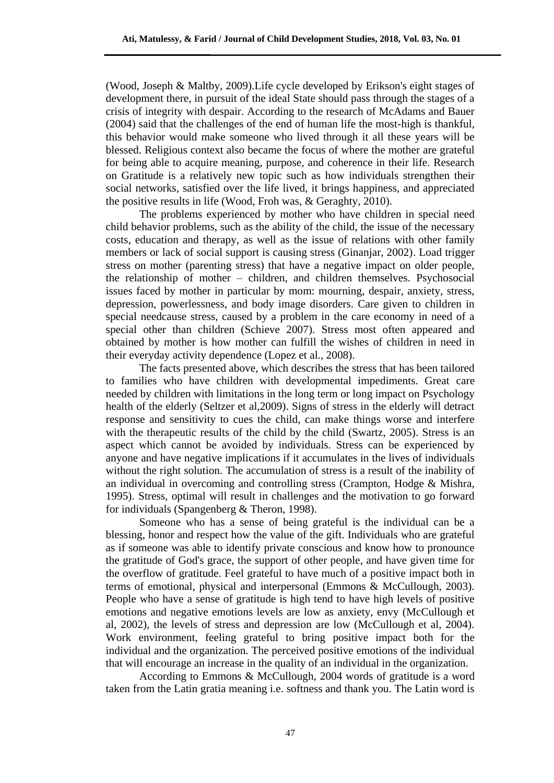(Wood, Joseph & Maltby, 2009).Life cycle developed by Erikson's eight stages of development there, in pursuit of the ideal State should pass through the stages of a crisis of integrity with despair. According to the research of McAdams and Bauer (2004) said that the challenges of the end of human life the most-high is thankful, this behavior would make someone who lived through it all these years will be blessed. Religious context also became the focus of where the mother are grateful for being able to acquire meaning, purpose, and coherence in their life. Research on Gratitude is a relatively new topic such as how individuals strengthen their social networks, satisfied over the life lived, it brings happiness, and appreciated the positive results in life (Wood, Froh was, & Geraghty, 2010).

The problems experienced by mother who have children in special need child behavior problems, such as the ability of the child, the issue of the necessary costs, education and therapy, as well as the issue of relations with other family members or lack of social support is causing stress (Ginanjar, 2002). Load trigger stress on mother (parenting stress) that have a negative impact on older people, the relationship of mother – children, and children themselves. Psychosocial issues faced by mother in particular by mom: mourning, despair, anxiety, stress, depression, powerlessness, and body image disorders. Care given to children in special needcause stress, caused by a problem in the care economy in need of a special other than children (Schieve 2007). Stress most often appeared and obtained by mother is how mother can fulfill the wishes of children in need in their everyday activity dependence (Lopez et al., 2008).

The facts presented above, which describes the stress that has been tailored to families who have children with developmental impediments. Great care needed by children with limitations in the long term or long impact on Psychology health of the elderly (Seltzer et al,2009). Signs of stress in the elderly will detract response and sensitivity to cues the child, can make things worse and interfere with the therapeutic results of the child by the child (Swartz, 2005). Stress is an aspect which cannot be avoided by individuals. Stress can be experienced by anyone and have negative implications if it accumulates in the lives of individuals without the right solution. The accumulation of stress is a result of the inability of an individual in overcoming and controlling stress (Crampton, Hodge & Mishra, 1995). Stress, optimal will result in challenges and the motivation to go forward for individuals (Spangenberg & Theron, 1998).

Someone who has a sense of being grateful is the individual can be a blessing, honor and respect how the value of the gift. Individuals who are grateful as if someone was able to identify private conscious and know how to pronounce the gratitude of God's grace, the support of other people, and have given time for the overflow of gratitude. Feel grateful to have much of a positive impact both in terms of emotional, physical and interpersonal (Emmons & McCullough, 2003). People who have a sense of gratitude is high tend to have high levels of positive emotions and negative emotions levels are low as anxiety, envy (McCullough et al, 2002), the levels of stress and depression are low (McCullough et al, 2004). Work environment, feeling grateful to bring positive impact both for the individual and the organization. The perceived positive emotions of the individual that will encourage an increase in the quality of an individual in the organization.

According to Emmons & McCullough, 2004 words of gratitude is a word taken from the Latin gratia meaning i.e. softness and thank you. The Latin word is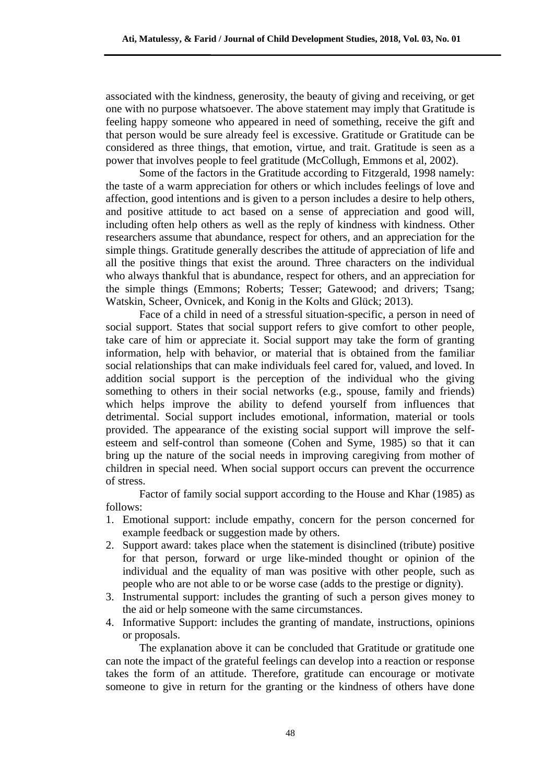associated with the kindness, generosity, the beauty of giving and receiving, or get one with no purpose whatsoever. The above statement may imply that Gratitude is feeling happy someone who appeared in need of something, receive the gift and that person would be sure already feel is excessive. Gratitude or Gratitude can be considered as three things, that emotion, virtue, and trait. Gratitude is seen as a power that involves people to feel gratitude (McCollugh, Emmons et al, 2002).

Some of the factors in the Gratitude according to Fitzgerald, 1998 namely: the taste of a warm appreciation for others or which includes feelings of love and affection, good intentions and is given to a person includes a desire to help others, and positive attitude to act based on a sense of appreciation and good will, including often help others as well as the reply of kindness with kindness. Other researchers assume that abundance, respect for others, and an appreciation for the simple things. Gratitude generally describes the attitude of appreciation of life and all the positive things that exist the around. Three characters on the individual who always thankful that is abundance, respect for others, and an appreciation for the simple things (Emmons; Roberts; Tesser; Gatewood; and drivers; Tsang; Watskin, Scheer, Ovnicek, and Konig in the Kolts and Glück; 2013).

Face of a child in need of a stressful situation-specific, a person in need of social support. States that social support refers to give comfort to other people, take care of him or appreciate it. Social support may take the form of granting information, help with behavior, or material that is obtained from the familiar social relationships that can make individuals feel cared for, valued, and loved. In addition social support is the perception of the individual who the giving something to others in their social networks (e.g., spouse, family and friends) which helps improve the ability to defend yourself from influences that detrimental. Social support includes emotional, information, material or tools provided. The appearance of the existing social support will improve the selfesteem and self-control than someone (Cohen and Syme, 1985) so that it can bring up the nature of the social needs in improving caregiving from mother of children in special need. When social support occurs can prevent the occurrence of stress.

Factor of family social support according to the House and Khar (1985) as follows:

- 1. Emotional support: include empathy, concern for the person concerned for example feedback or suggestion made by others.
- 2. Support award: takes place when the statement is disinclined (tribute) positive for that person, forward or urge like-minded thought or opinion of the individual and the equality of man was positive with other people, such as people who are not able to or be worse case (adds to the prestige or dignity).
- 3. Instrumental support: includes the granting of such a person gives money to the aid or help someone with the same circumstances.
- 4. Informative Support: includes the granting of mandate, instructions, opinions or proposals.

The explanation above it can be concluded that Gratitude or gratitude one can note the impact of the grateful feelings can develop into a reaction or response takes the form of an attitude. Therefore, gratitude can encourage or motivate someone to give in return for the granting or the kindness of others have done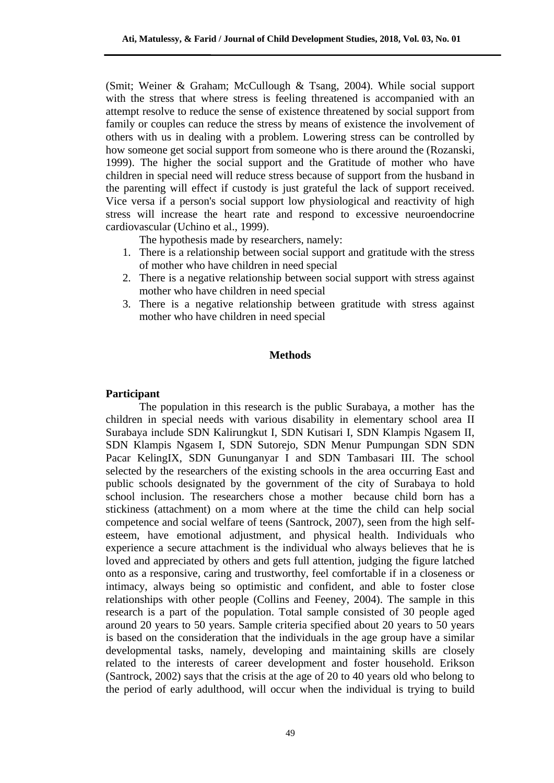(Smit; Weiner & Graham; McCullough & Tsang, 2004). While social support with the stress that where stress is feeling threatened is accompanied with an attempt resolve to reduce the sense of existence threatened by social support from family or couples can reduce the stress by means of existence the involvement of others with us in dealing with a problem. Lowering stress can be controlled by how someone get social support from someone who is there around the (Rozanski, 1999). The higher the social support and the Gratitude of mother who have children in special need will reduce stress because of support from the husband in the parenting will effect if custody is just grateful the lack of support received. Vice versa if a person's social support low physiological and reactivity of high stress will increase the heart rate and respond to excessive neuroendocrine cardiovascular (Uchino et al., 1999).

The hypothesis made by researchers, namely:

- 1. There is a relationship between social support and gratitude with the stress of mother who have children in need special
- 2. There is a negative relationship between social support with stress against mother who have children in need special
- 3. There is a negative relationship between gratitude with stress against mother who have children in need special

#### **Methods**

# **Participant**

The population in this research is the public Surabaya, a mother has the children in special needs with various disability in elementary school area II Surabaya include SDN Kalirungkut I, SDN Kutisari I, SDN Klampis Ngasem II, SDN Klampis Ngasem I, SDN Sutorejo, SDN Menur Pumpungan SDN SDN Pacar KelingIX, SDN Gununganyar I and SDN Tambasari III. The school selected by the researchers of the existing schools in the area occurring East and public schools designated by the government of the city of Surabaya to hold school inclusion. The researchers chose a mother because child born has a stickiness (attachment) on a mom where at the time the child can help social competence and social welfare of teens (Santrock, 2007), seen from the high selfesteem, have emotional adjustment, and physical health. Individuals who experience a secure attachment is the individual who always believes that he is loved and appreciated by others and gets full attention, judging the figure latched onto as a responsive, caring and trustworthy, feel comfortable if in a closeness or intimacy, always being so optimistic and confident, and able to foster close relationships with other people (Collins and Feeney, 2004). The sample in this research is a part of the population. Total sample consisted of 30 people aged around 20 years to 50 years. Sample criteria specified about 20 years to 50 years is based on the consideration that the individuals in the age group have a similar developmental tasks, namely, developing and maintaining skills are closely related to the interests of career development and foster household. Erikson (Santrock, 2002) says that the crisis at the age of 20 to 40 years old who belong to the period of early adulthood, will occur when the individual is trying to build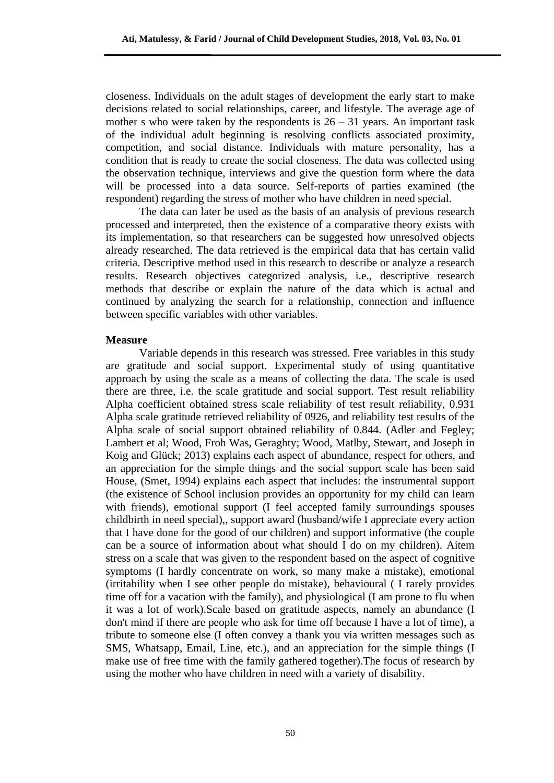closeness. Individuals on the adult stages of development the early start to make decisions related to social relationships, career, and lifestyle. The average age of mother s who were taken by the respondents is  $26 - 31$  years. An important task of the individual adult beginning is resolving conflicts associated proximity, competition, and social distance. Individuals with mature personality, has a condition that is ready to create the social closeness. The data was collected using the observation technique, interviews and give the question form where the data will be processed into a data source. Self-reports of parties examined (the respondent) regarding the stress of mother who have children in need special.

The data can later be used as the basis of an analysis of previous research processed and interpreted, then the existence of a comparative theory exists with its implementation, so that researchers can be suggested how unresolved objects already researched. The data retrieved is the empirical data that has certain valid criteria. Descriptive method used in this research to describe or analyze a research results. Research objectives categorized analysis, i.e., descriptive research methods that describe or explain the nature of the data which is actual and continued by analyzing the search for a relationship, connection and influence between specific variables with other variables.

#### **Measure**

Variable depends in this research was stressed. Free variables in this study are gratitude and social support. Experimental study of using quantitative approach by using the scale as a means of collecting the data. The scale is used there are three, i.e. the scale gratitude and social support. Test result reliability Alpha coefficient obtained stress scale reliability of test result reliability, 0.931 Alpha scale gratitude retrieved reliability of 0926, and reliability test results of the Alpha scale of social support obtained reliability of 0.844. (Adler and Fegley; Lambert et al; Wood, Froh Was, Geraghty; Wood, Matlby, Stewart, and Joseph in Koig and Glück; 2013) explains each aspect of abundance, respect for others, and an appreciation for the simple things and the social support scale has been said House, (Smet, 1994) explains each aspect that includes: the instrumental support (the existence of School inclusion provides an opportunity for my child can learn with friends), emotional support (I feel accepted family surroundings spouses childbirth in need special),, support award (husband/wife I appreciate every action that I have done for the good of our children) and support informative (the couple can be a source of information about what should I do on my children). Aitem stress on a scale that was given to the respondent based on the aspect of cognitive symptoms (I hardly concentrate on work, so many make a mistake), emotional (irritability when I see other people do mistake), behavioural ( I rarely provides time off for a vacation with the family), and physiological (I am prone to flu when it was a lot of work).Scale based on gratitude aspects, namely an abundance (I don't mind if there are people who ask for time off because I have a lot of time), a tribute to someone else (I often convey a thank you via written messages such as SMS, Whatsapp, Email, Line, etc.), and an appreciation for the simple things (I make use of free time with the family gathered together).The focus of research by using the mother who have children in need with a variety of disability.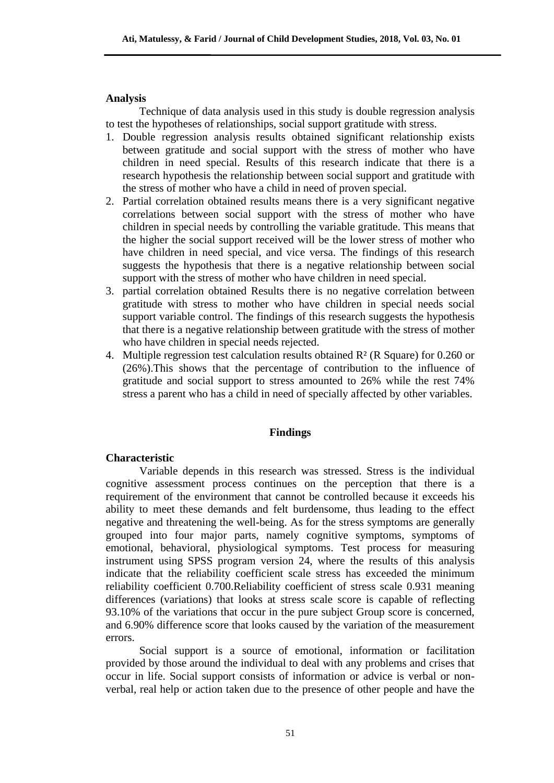# **Analysis**

Technique of data analysis used in this study is double regression analysis to test the hypotheses of relationships, social support gratitude with stress.

- 1. Double regression analysis results obtained significant relationship exists between gratitude and social support with the stress of mother who have children in need special. Results of this research indicate that there is a research hypothesis the relationship between social support and gratitude with the stress of mother who have a child in need of proven special.
- 2. Partial correlation obtained results means there is a very significant negative correlations between social support with the stress of mother who have children in special needs by controlling the variable gratitude. This means that the higher the social support received will be the lower stress of mother who have children in need special, and vice versa. The findings of this research suggests the hypothesis that there is a negative relationship between social support with the stress of mother who have children in need special.
- 3. partial correlation obtained Results there is no negative correlation between gratitude with stress to mother who have children in special needs social support variable control. The findings of this research suggests the hypothesis that there is a negative relationship between gratitude with the stress of mother who have children in special needs rejected.
- 4. Multiple regression test calculation results obtained R² (R Square) for 0.260 or (26%).This shows that the percentage of contribution to the influence of gratitude and social support to stress amounted to 26% while the rest 74% stress a parent who has a child in need of specially affected by other variables.

## **Findings**

## **Characteristic**

Variable depends in this research was stressed. Stress is the individual cognitive assessment process continues on the perception that there is a requirement of the environment that cannot be controlled because it exceeds his ability to meet these demands and felt burdensome, thus leading to the effect negative and threatening the well-being. As for the stress symptoms are generally grouped into four major parts, namely cognitive symptoms, symptoms of emotional, behavioral, physiological symptoms. Test process for measuring instrument using SPSS program version 24, where the results of this analysis indicate that the reliability coefficient scale stress has exceeded the minimum reliability coefficient 0.700.Reliability coefficient of stress scale 0.931 meaning differences (variations) that looks at stress scale score is capable of reflecting 93.10% of the variations that occur in the pure subject Group score is concerned, and 6.90% difference score that looks caused by the variation of the measurement errors.

Social support is a source of emotional, information or facilitation provided by those around the individual to deal with any problems and crises that occur in life. Social support consists of information or advice is verbal or nonverbal, real help or action taken due to the presence of other people and have the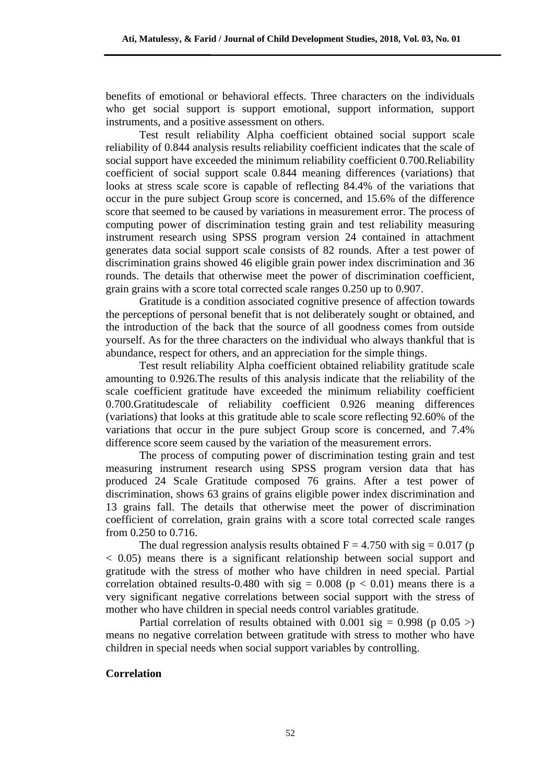benefits of emotional or behavioral effects. Three characters on the individuals who get social support is support emotional, support information, support instruments, and a positive assessment on others.

Test result reliability Alpha coefficient obtained social support scale reliability of 0.844 analysis results reliability coefficient indicates that the scale of social support have exceeded the minimum reliability coefficient 0.700.Reliability coefficient of social support scale 0.844 meaning differences (variations) that looks at stress scale score is capable of reflecting 84.4% of the variations that occur in the pure subject Group score is concerned, and 15.6% of the difference score that seemed to be caused by variations in measurement error. The process of computing power of discrimination testing grain and test reliability measuring instrument research using SPSS program version 24 contained in attachment generates data social support scale consists of 82 rounds. After a test power of discrimination grains showed 46 eligible grain power index discrimination and 36 rounds. The details that otherwise meet the power of discrimination coefficient, grain grains with a score total corrected scale ranges 0.250 up to 0.907.

Gratitude is a condition associated cognitive presence of affection towards the perceptions of personal benefit that is not deliberately sought or obtained, and the introduction of the back that the source of all goodness comes from outside yourself. As for the three characters on the individual who always thankful that is abundance, respect for others, and an appreciation for the simple things.

Test result reliability Alpha coefficient obtained reliability gratitude scale amounting to 0.926.The results of this analysis indicate that the reliability of the scale coefficient gratitude have exceeded the minimum reliability coefficient 0.700.Gratitudescale of reliability coefficient 0.926 meaning differences (variations) that looks at this gratitude able to scale score reflecting 92.60% of the variations that occur in the pure subject Group score is concerned, and 7.4% difference score seem caused by the variation of the measurement errors.

The process of computing power of discrimination testing grain and test measuring instrument research using SPSS program version data that has produced 24 Scale Gratitude composed 76 grains. After a test power of discrimination, shows 63 grains of grains eligible power index discrimination and 13 grains fall. The details that otherwise meet the power of discrimination coefficient of correlation, grain grains with a score total corrected scale ranges from 0.250 to 0.716.

The dual regression analysis results obtained  $F = 4.750$  with sig = 0.017 (p) < 0.05) means there is a significant relationship between social support and gratitude with the stress of mother who have children in need special. Partial correlation obtained results-0.480 with sig =  $0.008$  (p < 0.01) means there is a very significant negative correlations between social support with the stress of mother who have children in special needs control variables gratitude.

Partial correlation of results obtained with 0.001 sig =  $0.998$  (p 0.05 >) means no negative correlation between gratitude with stress to mother who have children in special needs when social support variables by controlling.

# **Correlation**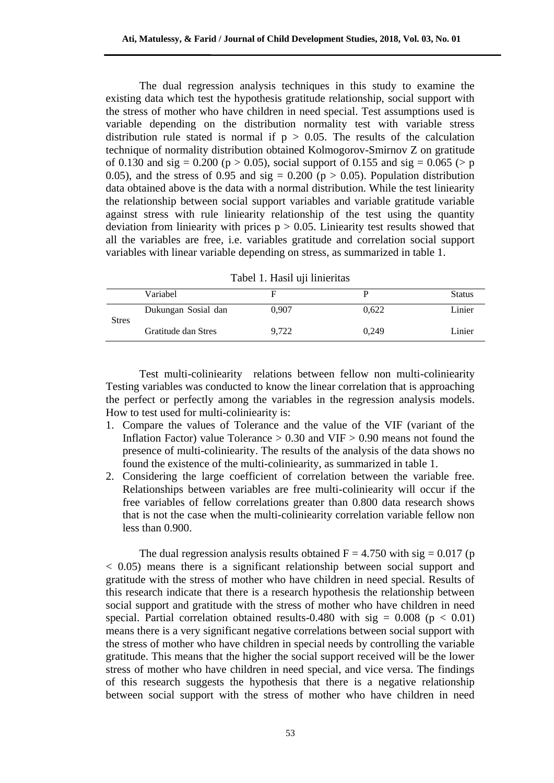The dual regression analysis techniques in this study to examine the existing data which test the hypothesis gratitude relationship, social support with the stress of mother who have children in need special. Test assumptions used is variable depending on the distribution normality test with variable stress distribution rule stated is normal if  $p > 0.05$ . The results of the calculation technique of normality distribution obtained Kolmogorov-Smirnov Z on gratitude of 0.130 and sig = 0.200 ( $p > 0.05$ ), social support of 0.155 and sig = 0.065 ( $>p$ ) 0.05), and the stress of 0.95 and  $sig = 0.200$  ( $p > 0.05$ ). Population distribution data obtained above is the data with a normal distribution. While the test liniearity the relationship between social support variables and variable gratitude variable against stress with rule liniearity relationship of the test using the quantity deviation from liniearity with prices  $p > 0.05$ . Liniearity test results showed that all the variables are free, i.e. variables gratitude and correlation social support variables with linear variable depending on stress, as summarized in table 1.

| Tabel 1. Hasil uji linieritas |  |  |  |
|-------------------------------|--|--|--|
|-------------------------------|--|--|--|

|              | Variabel            |       |       | <b>Status</b> |
|--------------|---------------------|-------|-------|---------------|
| <b>Stres</b> | Dukungan Sosial dan | 0.907 | 0.622 | Linier        |
|              | Gratitude dan Stres | 9.722 | 0.249 | Linier        |

Test multi-coliniearity relations between fellow non multi-coliniearity Testing variables was conducted to know the linear correlation that is approaching the perfect or perfectly among the variables in the regression analysis models. How to test used for multi-coliniearity is:

- 1. Compare the values of Tolerance and the value of the VIF (variant of the Inflation Factor) value Tolerance  $> 0.30$  and VIF  $> 0.90$  means not found the presence of multi-coliniearity. The results of the analysis of the data shows no found the existence of the multi-coliniearity, as summarized in table 1.
- 2. Considering the large coefficient of correlation between the variable free. Relationships between variables are free multi-coliniearity will occur if the free variables of fellow correlations greater than 0.800 data research shows that is not the case when the multi-coliniearity correlation variable fellow non less than 0.900.

The dual regression analysis results obtained  $F = 4.750$  with sig = 0.017 (p) < 0.05) means there is a significant relationship between social support and gratitude with the stress of mother who have children in need special. Results of this research indicate that there is a research hypothesis the relationship between social support and gratitude with the stress of mother who have children in need special. Partial correlation obtained results-0.480 with sig =  $0.008$  (p < 0.01) means there is a very significant negative correlations between social support with the stress of mother who have children in special needs by controlling the variable gratitude. This means that the higher the social support received will be the lower stress of mother who have children in need special, and vice versa. The findings of this research suggests the hypothesis that there is a negative relationship between social support with the stress of mother who have children in need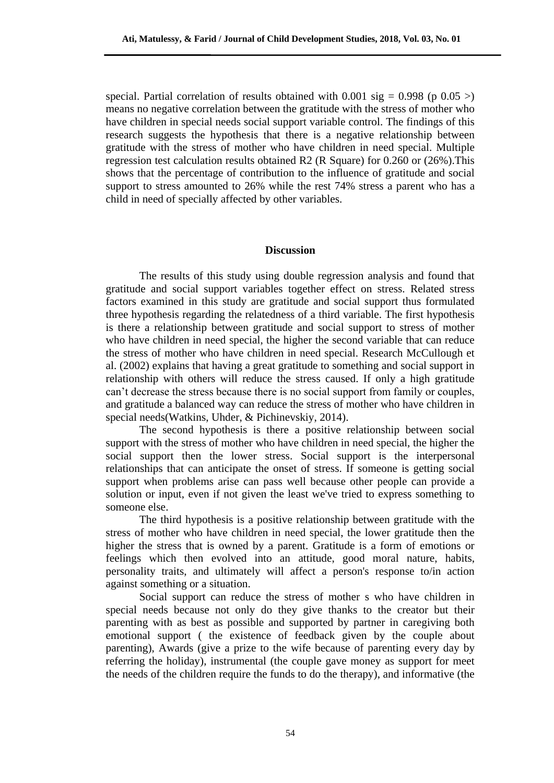special. Partial correlation of results obtained with 0.001 sig =  $0.998$  (p 0.05 >) means no negative correlation between the gratitude with the stress of mother who have children in special needs social support variable control. The findings of this research suggests the hypothesis that there is a negative relationship between gratitude with the stress of mother who have children in need special. Multiple regression test calculation results obtained R2 (R Square) for 0.260 or (26%).This shows that the percentage of contribution to the influence of gratitude and social support to stress amounted to 26% while the rest 74% stress a parent who has a child in need of specially affected by other variables.

#### **Discussion**

The results of this study using double regression analysis and found that gratitude and social support variables together effect on stress. Related stress factors examined in this study are gratitude and social support thus formulated three hypothesis regarding the relatedness of a third variable. The first hypothesis is there a relationship between gratitude and social support to stress of mother who have children in need special, the higher the second variable that can reduce the stress of mother who have children in need special. Research McCullough et al. (2002) explains that having a great gratitude to something and social support in relationship with others will reduce the stress caused. If only a high gratitude can't decrease the stress because there is no social support from family or couples, and gratitude a balanced way can reduce the stress of mother who have children in special needs(Watkins, Uhder, & Pichinevskiy, 2014).

The second hypothesis is there a positive relationship between social support with the stress of mother who have children in need special, the higher the social support then the lower stress. Social support is the interpersonal relationships that can anticipate the onset of stress. If someone is getting social support when problems arise can pass well because other people can provide a solution or input, even if not given the least we've tried to express something to someone else.

The third hypothesis is a positive relationship between gratitude with the stress of mother who have children in need special, the lower gratitude then the higher the stress that is owned by a parent. Gratitude is a form of emotions or feelings which then evolved into an attitude, good moral nature, habits, personality traits, and ultimately will affect a person's response to/in action against something or a situation.

Social support can reduce the stress of mother s who have children in special needs because not only do they give thanks to the creator but their parenting with as best as possible and supported by partner in caregiving both emotional support ( the existence of feedback given by the couple about parenting), Awards (give a prize to the wife because of parenting every day by referring the holiday), instrumental (the couple gave money as support for meet the needs of the children require the funds to do the therapy), and informative (the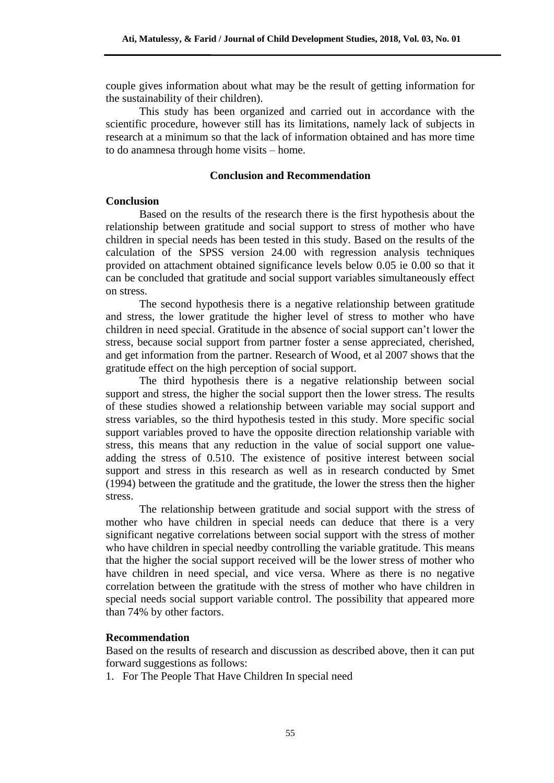couple gives information about what may be the result of getting information for the sustainability of their children).

This study has been organized and carried out in accordance with the scientific procedure, however still has its limitations, namely lack of subjects in research at a minimum so that the lack of information obtained and has more time to do anamnesa through home visits – home.

#### **Conclusion and Recommendation**

## **Conclusion**

Based on the results of the research there is the first hypothesis about the relationship between gratitude and social support to stress of mother who have children in special needs has been tested in this study. Based on the results of the calculation of the SPSS version 24.00 with regression analysis techniques provided on attachment obtained significance levels below 0.05 ie 0.00 so that it can be concluded that gratitude and social support variables simultaneously effect on stress.

The second hypothesis there is a negative relationship between gratitude and stress, the lower gratitude the higher level of stress to mother who have children in need special. Gratitude in the absence of social support can't lower the stress, because social support from partner foster a sense appreciated, cherished, and get information from the partner. Research of Wood, et al 2007 shows that the gratitude effect on the high perception of social support.

The third hypothesis there is a negative relationship between social support and stress, the higher the social support then the lower stress. The results of these studies showed a relationship between variable may social support and stress variables, so the third hypothesis tested in this study. More specific social support variables proved to have the opposite direction relationship variable with stress, this means that any reduction in the value of social support one valueadding the stress of 0.510. The existence of positive interest between social support and stress in this research as well as in research conducted by Smet (1994) between the gratitude and the gratitude, the lower the stress then the higher stress.

The relationship between gratitude and social support with the stress of mother who have children in special needs can deduce that there is a very significant negative correlations between social support with the stress of mother who have children in special needby controlling the variable gratitude. This means that the higher the social support received will be the lower stress of mother who have children in need special, and vice versa. Where as there is no negative correlation between the gratitude with the stress of mother who have children in special needs social support variable control. The possibility that appeared more than 74% by other factors.

## **Recommendation**

Based on the results of research and discussion as described above, then it can put forward suggestions as follows:

1. For The People That Have Children In special need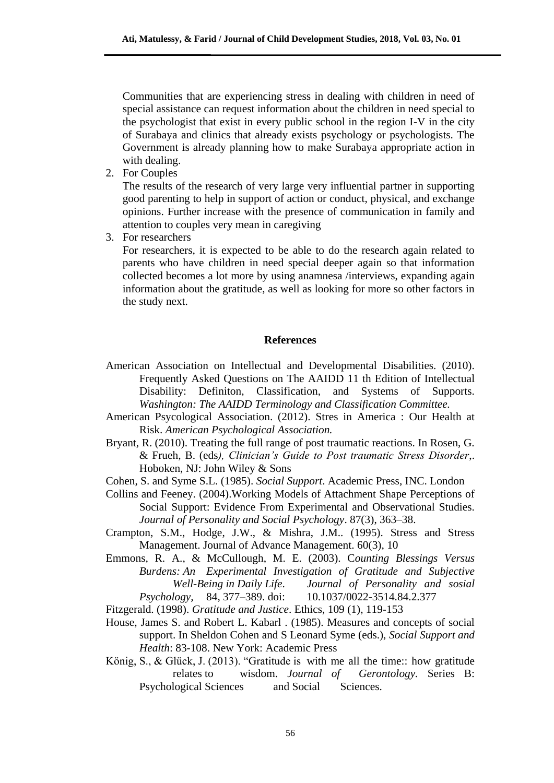Communities that are experiencing stress in dealing with children in need of special assistance can request information about the children in need special to the psychologist that exist in every public school in the region I-V in the city of Surabaya and clinics that already exists psychology or psychologists. The Government is already planning how to make Surabaya appropriate action in with dealing.

2. For Couples

The results of the research of very large very influential partner in supporting good parenting to help in support of action or conduct, physical, and exchange opinions. Further increase with the presence of communication in family and attention to couples very mean in caregiving

3. For researchers

For researchers, it is expected to be able to do the research again related to parents who have children in need special deeper again so that information collected becomes a lot more by using anamnesa /interviews, expanding again information about the gratitude, as well as looking for more so other factors in the study next.

## **References**

- American Association on Intellectual and Developmental Disabilities. (2010). Frequently Asked Questions on The AAIDD 11 th Edition of Intellectual Disability: Definiton, Classification, and Systems of Supports. *Washington: The AAIDD Terminology and Classification Committee.*
- American Psycological Association. (2012). Stres in America : Our Health at Risk. *American Psychological Association.*
- Bryant, R. (2010). Treating the full range of post traumatic reactions. In Rosen, G. & Frueh, B. (eds*), Clinician's Guide to Post traumatic Stress Disorder*,. Hoboken, NJ: John Wiley & Sons
- Cohen, S. and Syme S.L. (1985). *Social Support*. Academic Press, INC. London
- Collins and Feeney. (2004).Working Models of Attachment Shape Perceptions of Social Support: Evidence From Experimental and Observational Studies. *Journal of Personality and Social Psychology*. 87(3), 363–38.
- Crampton, S.M., Hodge, J.W., & Mishra, J.M.. (1995). Stress and Stress Management. Journal of Advance Management. 60(3), 10
- Emmons, R. A., & McCullough, M. E. (2003). C*ounting Blessings Versus Burdens: An Experimental Investigation of Gratitude and Subjective Well-Being in Daily Life*. *Journal of Personality and sosial Psychology,* 84*,* 377–389. doi: 10.1037/0022-3514.84.2.377

Fitzgerald. (1998). *Gratitude and Justice*. Ethics, 109 (1), 119-153

- House, James S. and Robert L. Kabarl . (1985). Measures and concepts of social support. In Sheldon Cohen and S Leonard Syme (eds.), *Social Support and Health*: 83-108. New York: Academic Press
- König, S., & Glück, J. (2013). "Gratitude is with me all the time:: how gratitude relates to wisdom. *Journal of Gerontology.* Series B: Psychological Sciences and Social Sciences.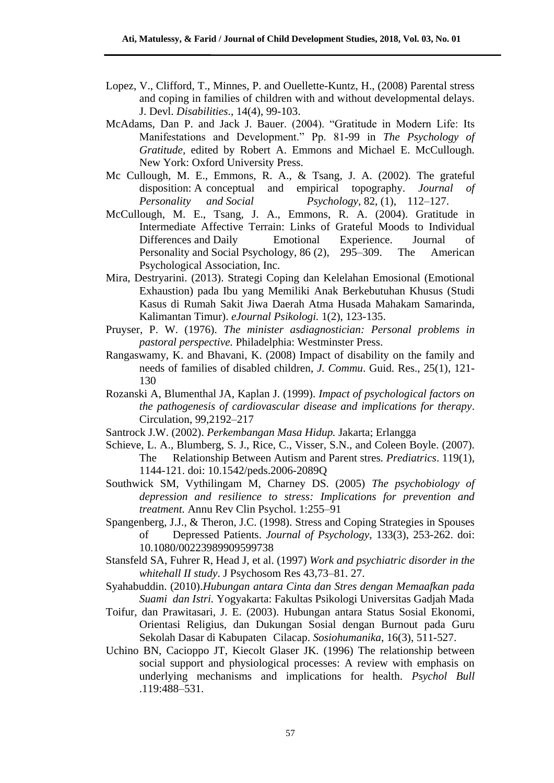- Lopez, V., Clifford, T., Minnes, P. and Ouellette-Kuntz, H., (2008) Parental stress and coping in families of children with and without developmental delays. J. Devl. *Disabilities*., 14(4), 99-103.
- McAdams, Dan P. and Jack J. Bauer. (2004). "Gratitude in Modern Life: Its Manifestations and Development." Pp. 81-99 in *The Psychology of Gratitude,* edited by Robert A. Emmons and Michael E. McCullough. New York: Oxford University Press.
- Mc Cullough, M. E., Emmons, R. A., & Tsang, J. A. (2002). The grateful disposition: A conceptual and empirical topography. *Journal of Personality and Social Psychology,* 82, (1), 112–127.
- McCullough, M. E., Tsang, J. A., Emmons, R. A. (2004). Gratitude in Intermediate Affective Terrain: Links of Grateful Moods to Individual Differences and Daily Emotional Experience. Journal of Personality and Social Psychology, 86 (2), 295–309. The American Psychological Association, Inc.
- Mira, Destryarini. (2013). Strategi Coping dan Kelelahan Emosional (Emotional Exhaustion) pada Ibu yang Memiliki Anak Berkebutuhan Khusus (Studi Kasus di Rumah Sakit Jiwa Daerah Atma Husada Mahakam Samarinda, Kalimantan Timur). *eJournal Psikologi.* 1(2), 123-135.
- Pruyser, P. W. (1976). *The minister asdiagnostician: Personal problems in pastoral perspective.* Philadelphia: Westminster Press.
- Rangaswamy, K. and Bhavani, K. (2008) Impact of disability on the family and needs of families of disabled children, *J. Commu*. Guid. Res., 25(1), 121- 130
- Rozanski A, Blumenthal JA, Kaplan J. (1999). *Impact of psychological factors on the pathogenesis of cardiovascular disease and implications for therapy*. Circulation, 99,2192–217
- Santrock J.W. (2002). *Perkembangan Masa Hidup.* Jakarta; Erlangga
- Schieve, L. A., Blumberg, S. J., Rice, C., Visser, S.N., and Coleen Boyle. (2007). The Relationship Between Autism and Parent stres*. Prediatrics*. 119(1), 1144-121. doi: [10.1542/peds.2006-2089Q](https://doi.org/10.1542/peds.2006-2089Q)
- Southwick SM, Vythilingam M, Charney DS. (2005) *The psychobiology of depression and resilience to stress: Implications for prevention and treatment.* Annu Rev Clin Psychol. 1:255–91
- Spangenberg, J.J., & Theron, J.C. (1998). Stress and Coping Strategies in Spouses of Depressed Patients. *Journal of Psychology*, 133(3), 253-262. doi: [10.1080/00223989909599738](https://doi.org/10.1080/00223989909599738)
- Stansfeld SA, Fuhrer R, Head J, et al. (1997) *Work and psychiatric disorder in the whitehall II study*. J Psychosom Res 43,73–81. 27.
- Syahabuddin. (2010).*Hubungan antara Cinta dan Stres dengan Memaafkan pada Suami dan Istri.* Yogyakarta: Fakultas Psikologi Universitas Gadjah Mada
- Toifur, dan Prawitasari, J. E. (2003). Hubungan antara Status Sosial Ekonomi, Orientasi Religius, dan Dukungan Sosial dengan Burnout pada Guru Sekolah Dasar di Kabupaten Cilacap. *Sosiohumanika*, 16(3), 511-527.
- Uchino BN, Cacioppo JT, Kiecolt Glaser JK. (1996) The relationship between social support and physiological processes: A review with emphasis on underlying mechanisms and implications for health. *Psychol Bull* .119:488–531.